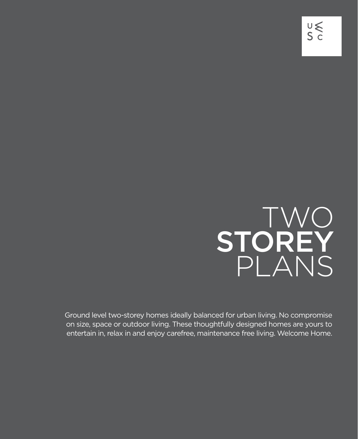## TWO STOREY PLANS

Ground level two-storey homes ideally balanced for urban living. No compromise on size, space or outdoor living. These thoughtfully designed homes are yours to entertain in, relax in and enjoy carefree, maintenance free living. Welcome Home.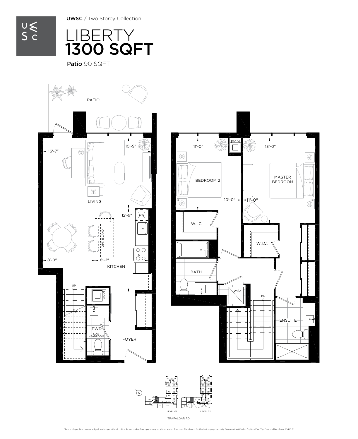UWSC / Two Storey Collection



Patio 90 SQFT



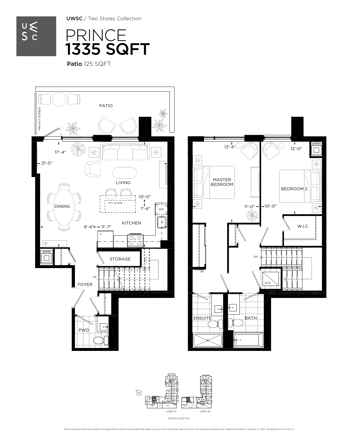$\underset{\mathsf{S}}{\mathsf{U}}\underset{\mathsf{C}}{\leqslant}$ 

UWSC / Two Storey Collection



Patio 125 SQFT





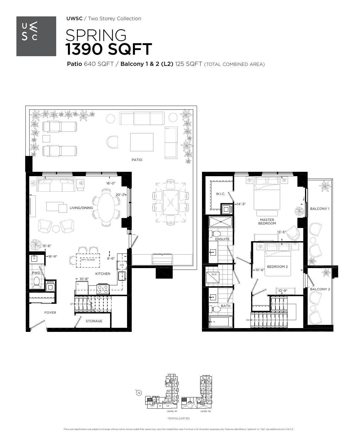UWSC / Two Storey Collection



SPRING 1390 SQFT

Patio 640 SQFT / Balcony 1 & 2 (L2) 125 SQFT (TOTAL COMBINED AREA)